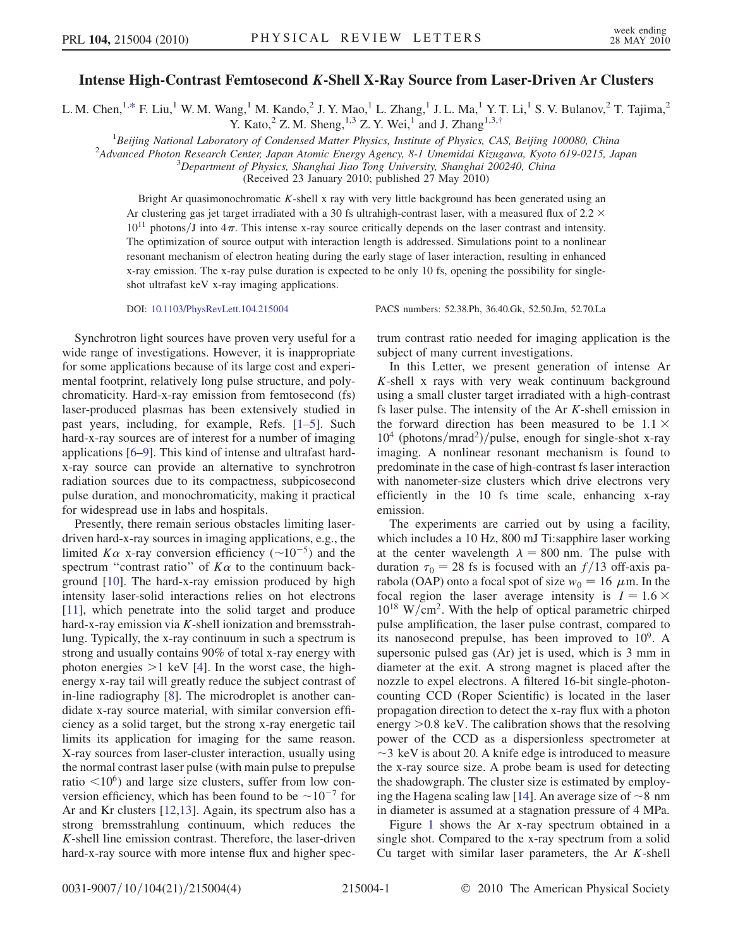## Intense High-Contrast Femtosecond *K*-Shell X-Ray Source from Laser-Driven Ar Clusters

<span id="page-0-1"></span><span id="page-0-0"></span>L. M. Chen, <sup>1[,\\*](#page-3-0)</sup> F. Liu,<sup>1</sup> W. M. Wang,<sup>1</sup> M. Kando,<sup>2</sup> J. Y. Mao,<sup>1</sup> L. Zhang,<sup>1</sup> J. L. Ma,<sup>1</sup> Y. T. Li,<sup>1</sup> S. V. Bulanov,<sup>2</sup> T. Tajima,<sup>2</sup> Y. Kato,  $2^{\circ}$  Z. M. Sheng,  $1,3$  Z. Y. Wei,  $1$  and J. Zhang  $1,3,5$ 

<sup>1</sup>Beijing National Laboratory of Condensed Matter Physics, Institute of Physics, CAS, Beijing 100080, China<br><sup>2</sup>Advanced Photon Besearch Center, Japan Atomic Francy Agency 8 J Umemidai Kizugawa, Kyoto 610,0215, Ja

<sup>2</sup>Advanced Photon Research Center, Japan Atomic Energy Agency, 8-1 Umemidai Kizugawa, Kyoto 619-0215, Japan

 $3$ Department of Physics, Shanghai Jiao Tong University, Shanghai 200240, China

(Received 23 January 2010; published 27 May 2010)

Bright Ar quasimonochromatic K-shell x ray with very little background has been generated using an Ar clustering gas jet target irradiated with a 30 fs ultrahigh-contrast laser, with a measured flux of  $2.2 \times$  $10^{11}$  photons/J into  $4\pi$ . This intense x-ray source critically depends on the laser contrast and intensity. The optimization of source output with interaction length is addressed. Simulations point to a nonlinear resonant mechanism of electron heating during the early stage of laser interaction, resulting in enhanced x-ray emission. The x-ray pulse duration is expected to be only 10 fs, opening the possibility for singleshot ultrafast keV x-ray imaging applications.

DOI: [10.1103/PhysRevLett.104.215004](http://dx.doi.org/10.1103/PhysRevLett.104.215004) PACS numbers: 52.38.Ph, 36.40.Gk, 52.50.Jm, 52.70.La

Synchrotron light sources have proven very useful for a wide range of investigations. However, it is inappropriate for some applications because of its large cost and experimental footprint, relatively long pulse structure, and polychromaticity. Hard-x-ray emission from femtosecond (fs) laser-produced plasmas has been extensively studied in past years, including, for example, Refs. [\[1](#page-3-2)–[5\]](#page-3-3). Such hard-x-ray sources are of interest for a number of imaging applications [[6](#page-3-4)[–9\]](#page-3-5). This kind of intense and ultrafast hardx-ray source can provide an alternative to synchrotron radiation sources due to its compactness, subpicosecond pulse duration, and monochromaticity, making it practical for widespread use in labs and hospitals.

Presently, there remain serious obstacles limiting laserdriven hard-x-ray sources in imaging applications, e.g., the limited  $K\alpha$  x-ray conversion efficiency ( $\sim 10^{-5}$ ) and the spectrum "contrast ratio" of  $K\alpha$  to the continuum background [\[10\]](#page-3-6). The hard-x-ray emission produced by high intensity laser-solid interactions relies on hot electrons [\[11\]](#page-3-7), which penetrate into the solid target and produce hard-x-ray emission via  $K$ -shell ionization and bremsstrahlung. Typically, the x-ray continuum in such a spectrum is strong and usually contains 90% of total x-ray energy with photon energies  $>1$  keV [[4\]](#page-3-8). In the worst case, the highenergy x-ray tail will greatly reduce the subject contrast of in-line radiography [[8\]](#page-3-9). The microdroplet is another candidate x-ray source material, with similar conversion efficiency as a solid target, but the strong x-ray energetic tail limits its application for imaging for the same reason. X-ray sources from laser-cluster interaction, usually using the normal contrast laser pulse (with main pulse to prepulse ratio  $\leq 10^6$ ) and large size clusters, suffer from low conversion efficiency, which has been found to be  $\sim 10^{-7}$  for Ar and Kr clusters [[12](#page-3-10),[13](#page-3-11)]. Again, its spectrum also has a strong bremsstrahlung continuum, which reduces the K-shell line emission contrast. Therefore, the laser-driven hard-x-ray source with more intense flux and higher spectrum contrast ratio needed for imaging application is the subject of many current investigations.

In this Letter, we present generation of intense Ar K-shell x rays with very weak continuum background using a small cluster target irradiated with a high-contrast fs laser pulse. The intensity of the Ar K-shell emission in the forward direction has been measured to be  $1.1 \times$  $10^4$  (photons/mrad<sup>2</sup>)/pulse, enough for single-shot x-ray imaging. A nonlinear resonant mechanism is found to predominate in the case of high-contrast fs laser interaction with nanometer-size clusters which drive electrons very efficiently in the 10 fs time scale, enhancing x-ray emission.

The experiments are carried out by using a facility, which includes a 10 Hz, 800 mJ Ti:sapphire laser working at the center wavelength  $\lambda = 800$  nm. The pulse with duration  $\tau_0 = 28$  fs is focused with an  $f/13$  off-axis parabola (OAP) onto a focal spot of size  $w_0 = 16 \mu m$ . In the focal region the laser average intensity is  $I = 1.6 \times$  $10^{18}$  W/cm<sup>2</sup>. With the help of optical parametric chirped pulse amplification, the laser pulse contrast, compared to its nanosecond prepulse, has been improved to  $10^9$ . A supersonic pulsed gas (Ar) jet is used, which is 3 mm in diameter at the exit. A strong magnet is placed after the nozzle to expel electrons. A filtered 16-bit single-photoncounting CCD (Roper Scientific) is located in the laser propagation direction to detect the x-ray flux with a photon energy >0:8 keV. The calibration shows that the resolving power of the CCD as a dispersionless spectrometer at -3 keV is about 20. A knife edge is introduced to measure the x-ray source size. A probe beam is used for detecting the shadowgraph. The cluster size is estimated by employ-ing the Hagena scaling law [[14](#page-3-12)]. An average size of  $\sim$ 8 nm in diameter is assumed at a stagnation pressure of 4 MPa.

Figure [1](#page-1-0) shows the Ar x-ray spectrum obtained in a single shot. Compared to the x-ray spectrum from a solid Cu target with similar laser parameters, the Ar  $K$ -shell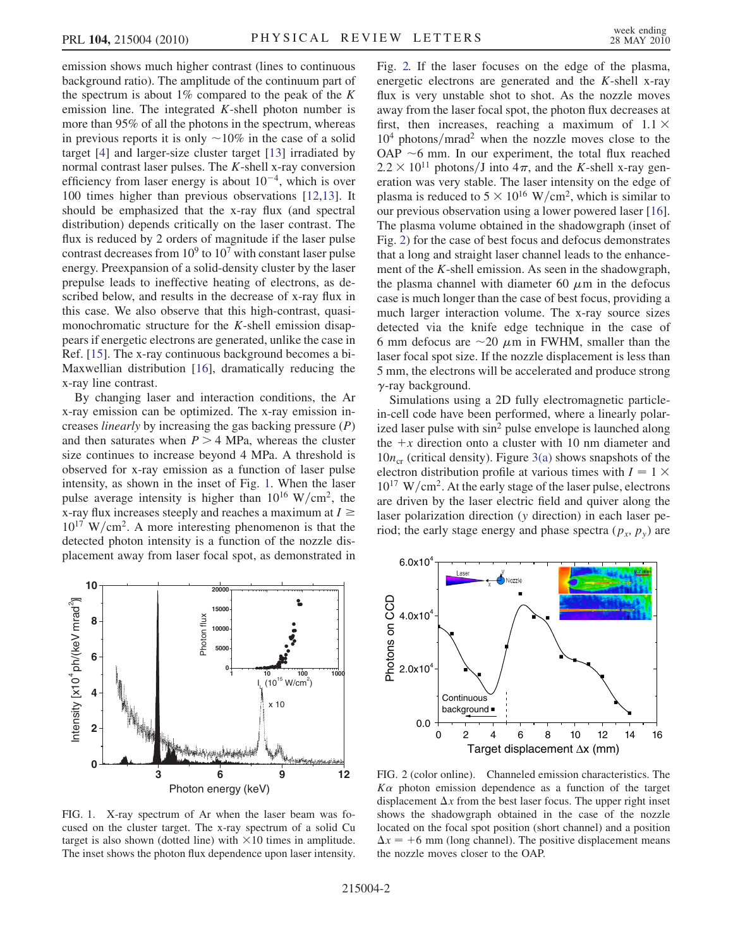emission shows much higher contrast (lines to continuous background ratio). The amplitude of the continuum part of the spectrum is about  $1\%$  compared to the peak of the K emission line. The integrated  $K$ -shell photon number is more than 95% of all the photons in the spectrum, whereas in previous reports it is only  $\sim$  10% in the case of a solid target [\[4](#page-3-8)] and larger-size cluster target [[13](#page-3-11)] irradiated by normal contrast laser pulses. The K-shell x-ray conversion efficiency from laser energy is about  $10^{-4}$ , which is over 100 times higher than previous observations [\[12,](#page-3-10)[13\]](#page-3-11). It should be emphasized that the x-ray flux (and spectral distribution) depends critically on the laser contrast. The flux is reduced by 2 orders of magnitude if the laser pulse contrast decreases from  $10^9$  to  $10^7$  with constant laser pulse energy. Preexpansion of a solid-density cluster by the laser prepulse leads to ineffective heating of electrons, as described below, and results in the decrease of x-ray flux in this case. We also observe that this high-contrast, quasimonochromatic structure for the K-shell emission disappears if energetic electrons are generated, unlike the case in Ref. [[15](#page-3-13)]. The x-ray continuous background becomes a bi-Maxwellian distribution [[16](#page-3-14)], dramatically reducing the x-ray line contrast.

By changing laser and interaction conditions, the Ar x-ray emission can be optimized. The x-ray emission increases *linearly* by increasing the gas backing pressure  $(P)$ and then saturates when  $P > 4$  MPa, whereas the cluster size continues to increase beyond 4 MPa. A threshold is observed for x-ray emission as a function of laser pulse intensity, as shown in the inset of Fig. [1.](#page-1-0) When the laser pulse average intensity is higher than  $10^{16}$  W/cm<sup>2</sup>, the x-ray flux increases steeply and reaches a maximum at  $I \geq$  $10^{17}$  W/cm<sup>2</sup>. A more interesting phenomenon is that the detected photon intensity is a function of the nozzle displacement away from laser focal spot, as demonstrated in

<span id="page-1-0"></span>

FIG. 1. X-ray spectrum of Ar when the laser beam was focused on the cluster target. The x-ray spectrum of a solid Cu target is also shown (dotted line) with  $\times 10$  times in amplitude. The inset shows the photon flux dependence upon laser intensity.

Fig. [2.](#page-1-1) If the laser focuses on the edge of the plasma, energetic electrons are generated and the K-shell x-ray flux is very unstable shot to shot. As the nozzle moves away from the laser focal spot, the photon flux decreases at first, then increases, reaching a maximum of  $1.1 \times$  $10<sup>4</sup>$  photons/mrad<sup>2</sup> when the nozzle moves close to the OAP  $\sim$ 6 mm. In our experiment, the total flux reached  $2.2 \times 10^{11}$  photons/J into  $4\pi$ , and the K-shell x-ray generation was very stable. The laser intensity on the edge of plasma is reduced to  $5 \times 10^{16}$  W/cm<sup>2</sup>, which is similar to our previous observation using a lower powered laser [[16\]](#page-3-14). The plasma volume obtained in the shadowgraph (inset of Fig. [2](#page-1-1)) for the case of best focus and defocus demonstrates that a long and straight laser channel leads to the enhancement of the K-shell emission. As seen in the shadowgraph, the plasma channel with diameter 60  $\mu$ m in the defocus case is much longer than the case of best focus, providing a much larger interaction volume. The x-ray source sizes detected via the knife edge technique in the case of 6 mm defocus are  $\sim$ 20  $\mu$ m in FWHM, smaller than the laser focal spot size. If the nozzle displacement is less than 5 mm, the electrons will be accelerated and produce strong  $\gamma$ -ray background.

Simulations using a 2D fully electromagnetic particlein-cell code have been performed, where a linearly polarized laser pulse with sin<sup>2</sup> pulse envelope is launched along the  $+x$  direction onto a cluster with 10 nm diameter and  $10n_{cr}$  (critical density). Figure [3\(a\)](#page-2-0) shows snapshots of the electron distribution profile at various times with  $I = 1 \times$  $10^{17}$  W/cm<sup>2</sup>. At the early stage of the laser pulse, electrons are driven by the laser electric field and quiver along the laser polarization direction (y direction) in each laser period; the early stage energy and phase spectra  $(p_x, p_y)$  are

<span id="page-1-1"></span>

FIG. 2 (color online). Channeled emission characteristics. The  $K\alpha$  photon emission dependence as a function of the target displacement  $\Delta x$  from the best laser focus. The upper right inset shows the shadowgraph obtained in the case of the nozzle located on the focal spot position (short channel) and a position  $\Delta x = +6$  mm (long channel). The positive displacement means the nozzle moves closer to the OAP.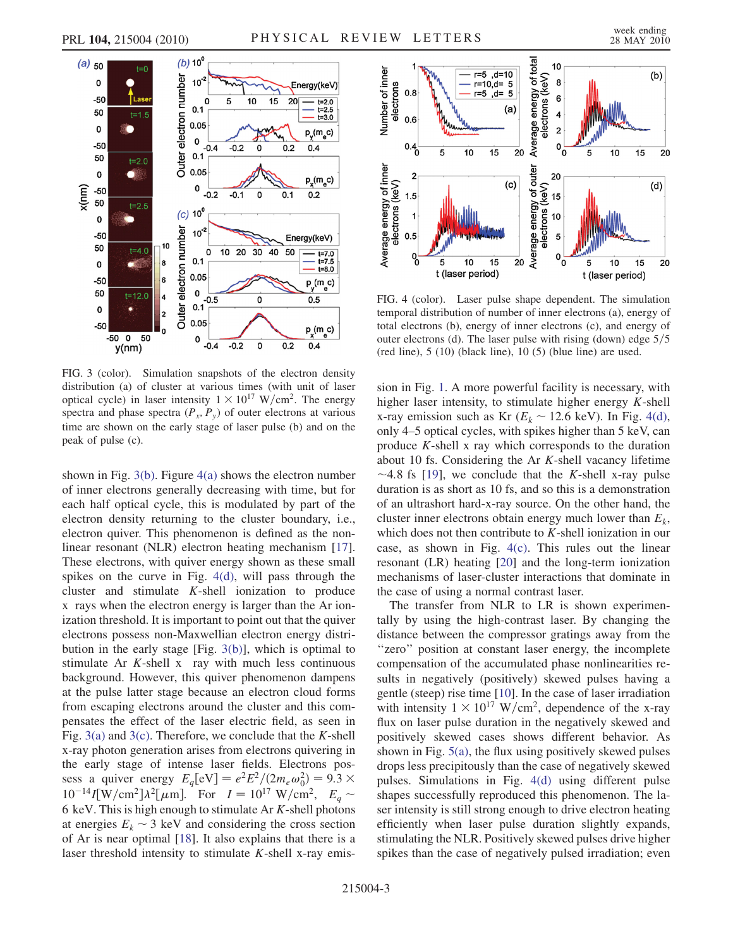



<span id="page-2-0"></span>FIG. 3 (color). Simulation snapshots of the electron density distribution (a) of cluster at various times (with unit of laser optical cycle) in laser intensity  $1 \times 10^{17}$  W/cm<sup>2</sup>. The energy spectra and phase spectra  $(P_x, P_y)$  of outer electrons at various time are shown on the early stage of laser pulse (b) and on the peak of pulse (c).

shown in Fig.  $3(b)$ . Figure  $4(a)$  shows the electron number of inner electrons generally decreasing with time, but for each half optical cycle, this is modulated by part of the electron density returning to the cluster boundary, i.e., electron quiver. This phenomenon is defined as the nonlinear resonant (NLR) electron heating mechanism [[17\]](#page-3-15). These electrons, with quiver energy shown as these small spikes on the curve in Fig. [4\(d\),](#page-2-1) will pass through the cluster and stimulate K-shell ionization to produce x rays when the electron energy is larger than the Ar ionization threshold. It is important to point out that the quiver electrons possess non-Maxwellian electron energy distribution in the early stage [Fig. [3\(b\)\]](#page-2-0), which is optimal to stimulate Ar  $K$ -shell x ray with much less continuous background. However, this quiver phenomenon dampens at the pulse latter stage because an electron cloud forms from escaping electrons around the cluster and this compensates the effect of the laser electric field, as seen in Fig.  $3(a)$  and  $3(c)$ . Therefore, we conclude that the K-shell x-ray photon generation arises from electrons quivering in the early stage of intense laser fields. Electrons possess a quiver energy  $E_q[\text{eV}] = e^2 E^2/(2m_e \omega_0^2) = 9.3 \times$  $10^{-14}I[W/cm^2]\lambda^2[\mu m]$ . For  $I = 10^{17} W/cm^2$ ,  $E_q \sim$ 6 keV. This is high enough to stimulate Ar  $K$ -shell photons at energies  $E_k \sim 3$  keV and considering the cross section of Ar is near optimal [[18](#page-3-16)]. It also explains that there is a laser threshold intensity to stimulate  $K$ -shell x-ray emis-



<span id="page-2-1"></span>FIG. 4 (color). Laser pulse shape dependent. The simulation temporal distribution of number of inner electrons (a), energy of total electrons (b), energy of inner electrons (c), and energy of outer electrons (d). The laser pulse with rising (down) edge  $5/5$ (red line), 5 (10) (black line), 10 (5) (blue line) are used.

sion in Fig. [1](#page-1-0). A more powerful facility is necessary, with higher laser intensity, to stimulate higher energy  $K$ -shell x-ray emission such as Kr ( $E_k \sim 12.6$  keV). In Fig. [4\(d\)](#page-2-1), only 4–5 optical cycles, with spikes higher than 5 keV, can produce K-shell x ray which corresponds to the duration about 10 fs. Considering the Ar K-shell vacancy lifetime  $\sim$  4.8 fs [[19](#page-3-17)], we conclude that the *K*-shell x-ray pulse duration is as short as 10 fs, and so this is a demonstration of an ultrashort hard-x-ray source. On the other hand, the cluster inner electrons obtain energy much lower than  $E<sub>k</sub>$ , which does not then contribute to  $K$ -shell ionization in our case, as shown in Fig. [4\(c\).](#page-2-1) This rules out the linear resonant (LR) heating [[20](#page-3-18)] and the long-term ionization mechanisms of laser-cluster interactions that dominate in the case of using a normal contrast laser.

The transfer from NLR to LR is shown experimentally by using the high-contrast laser. By changing the distance between the compressor gratings away from the ''zero'' position at constant laser energy, the incomplete compensation of the accumulated phase nonlinearities results in negatively (positively) skewed pulses having a gentle (steep) rise time [[10](#page-3-6)]. In the case of laser irradiation with intensity  $1 \times 10^{17}$  W/cm<sup>2</sup>, dependence of the x-ray flux on laser pulse duration in the negatively skewed and positively skewed cases shows different behavior. As shown in Fig. [5\(a\),](#page-3-19) the flux using positively skewed pulses drops less precipitously than the case of negatively skewed pulses. Simulations in Fig. [4\(d\)](#page-2-1) using different pulse shapes successfully reproduced this phenomenon. The laser intensity is still strong enough to drive electron heating efficiently when laser pulse duration slightly expands, stimulating the NLR. Positively skewed pulses drive higher spikes than the case of negatively pulsed irradiation; even